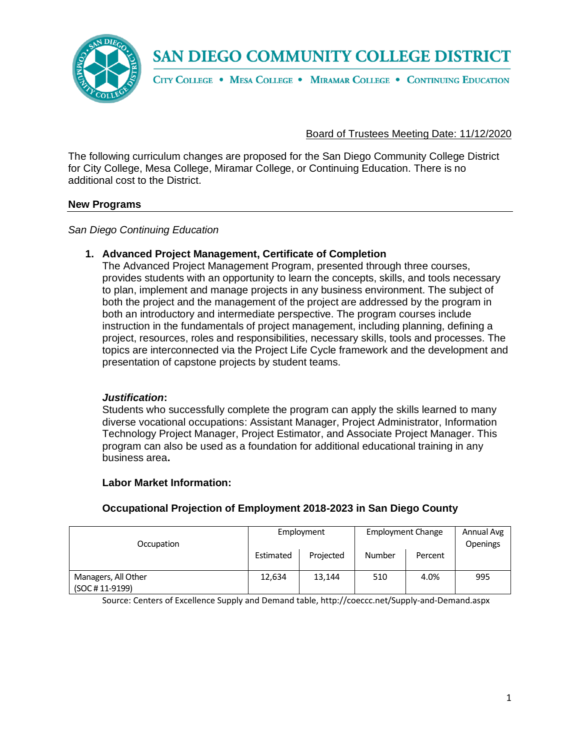

CITY COLLEGE . MESA COLLEGE . MIRAMAR COLLEGE . CONTINUING EDUCATION

### Board of Trustees Meeting Date: 11/12/2020

The following curriculum changes are proposed for the San Diego Community College District for City College, Mesa College, Miramar College, or Continuing Education. There is no additional cost to the District.

#### **New Programs**

*San Diego Continuing Education*

#### **1. Advanced Project Management, Certificate of Completion**

The Advanced Project Management Program, presented through three courses, provides students with an opportunity to learn the concepts, skills, and tools necessary to plan, implement and manage projects in any business environment. The subject of both the project and the management of the project are addressed by the program in both an introductory and intermediate perspective. The program courses include instruction in the fundamentals of project management, including planning, defining a project, resources, roles and responsibilities, necessary skills, tools and processes. The topics are interconnected via the Project Life Cycle framework and the development and presentation of capstone projects by student teams.

#### *Justification***:**

Students who successfully complete the program can apply the skills learned to many diverse vocational occupations: Assistant Manager, Project Administrator, Information Technology Project Manager, Project Estimator, and Associate Project Manager. This program can also be used as a foundation for additional educational training in any business area**.** 

#### **Labor Market Information:**

| Occupation                             | Employment |           | <b>Employment Change</b> |         | Annual Avg<br><b>Openings</b> |
|----------------------------------------|------------|-----------|--------------------------|---------|-------------------------------|
|                                        | Estimated  | Projected | Number                   | Percent |                               |
| Managers, All Other<br>(SOC # 11-9199) | 12,634     | 13,144    | 510                      | 4.0%    | 995                           |

### **Occupational Projection of Employment 2018-2023 in San Diego County**

Source: Centers of Excellence Supply and Demand table, http://coeccc.net/Supply-and-Demand.aspx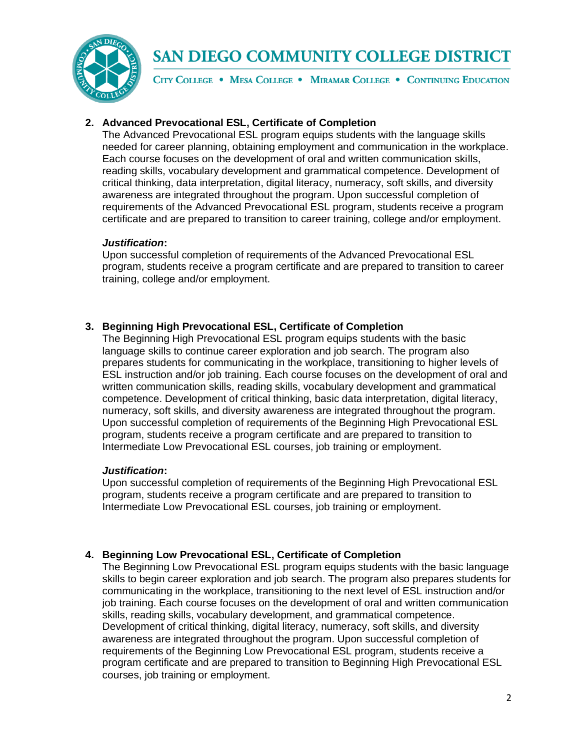

CITY COLLEGE . MESA COLLEGE . MIRAMAR COLLEGE . CONTINUING EDUCATION

### **2. Advanced Prevocational ESL, Certificate of Completion**

The Advanced Prevocational ESL program equips students with the language skills needed for career planning, obtaining employment and communication in the workplace. Each course focuses on the development of oral and written communication skills, reading skills, vocabulary development and grammatical competence. Development of critical thinking, data interpretation, digital literacy, numeracy, soft skills, and diversity awareness are integrated throughout the program. Upon successful completion of requirements of the Advanced Prevocational ESL program, students receive a program certificate and are prepared to transition to career training, college and/or employment.

### *Justification***:**

Upon successful completion of requirements of the Advanced Prevocational ESL program, students receive a program certificate and are prepared to transition to career training, college and/or employment.

### **3. Beginning High Prevocational ESL, Certificate of Completion**

The Beginning High Prevocational ESL program equips students with the basic language skills to continue career exploration and job search. The program also prepares students for communicating in the workplace, transitioning to higher levels of ESL instruction and/or job training. Each course focuses on the development of oral and written communication skills, reading skills, vocabulary development and grammatical competence. Development of critical thinking, basic data interpretation, digital literacy, numeracy, soft skills, and diversity awareness are integrated throughout the program. Upon successful completion of requirements of the Beginning High Prevocational ESL program, students receive a program certificate and are prepared to transition to Intermediate Low Prevocational ESL courses, job training or employment.

#### *Justification***:**

Upon successful completion of requirements of the Beginning High Prevocational ESL program, students receive a program certificate and are prepared to transition to Intermediate Low Prevocational ESL courses, job training or employment.

### **4. Beginning Low Prevocational ESL, Certificate of Completion**

The Beginning Low Prevocational ESL program equips students with the basic language skills to begin career exploration and job search. The program also prepares students for communicating in the workplace, transitioning to the next level of ESL instruction and/or job training. Each course focuses on the development of oral and written communication skills, reading skills, vocabulary development, and grammatical competence. Development of critical thinking, digital literacy, numeracy, soft skills, and diversity awareness are integrated throughout the program. Upon successful completion of requirements of the Beginning Low Prevocational ESL program, students receive a program certificate and are prepared to transition to Beginning High Prevocational ESL courses, job training or employment.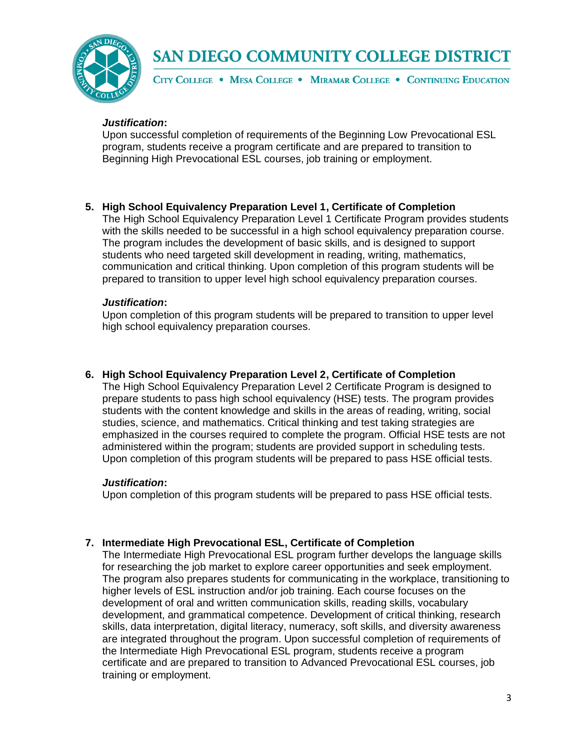

CITY COLLEGE . MESA COLLEGE . MIRAMAR COLLEGE . CONTINUING EDUCATION

#### *Justification***:**

Upon successful completion of requirements of the Beginning Low Prevocational ESL program, students receive a program certificate and are prepared to transition to Beginning High Prevocational ESL courses, job training or employment.

#### **5. High School Equivalency Preparation Level 1, Certificate of Completion**

The High School Equivalency Preparation Level 1 Certificate Program provides students with the skills needed to be successful in a high school equivalency preparation course. The program includes the development of basic skills, and is designed to support students who need targeted skill development in reading, writing, mathematics, communication and critical thinking. Upon completion of this program students will be prepared to transition to upper level high school equivalency preparation courses.

#### *Justification***:**

Upon completion of this program students will be prepared to transition to upper level high school equivalency preparation courses.

#### **6. High School Equivalency Preparation Level 2, Certificate of Completion**

The High School Equivalency Preparation Level 2 Certificate Program is designed to prepare students to pass high school equivalency (HSE) tests. The program provides students with the content knowledge and skills in the areas of reading, writing, social studies, science, and mathematics. Critical thinking and test taking strategies are emphasized in the courses required to complete the program. Official HSE tests are not administered within the program; students are provided support in scheduling tests. Upon completion of this program students will be prepared to pass HSE official tests.

#### *Justification***:**

Upon completion of this program students will be prepared to pass HSE official tests.

#### **7. Intermediate High Prevocational ESL, Certificate of Completion**

The Intermediate High Prevocational ESL program further develops the language skills for researching the job market to explore career opportunities and seek employment. The program also prepares students for communicating in the workplace, transitioning to higher levels of ESL instruction and/or job training. Each course focuses on the development of oral and written communication skills, reading skills, vocabulary development, and grammatical competence. Development of critical thinking, research skills, data interpretation, digital literacy, numeracy, soft skills, and diversity awareness are integrated throughout the program. Upon successful completion of requirements of the Intermediate High Prevocational ESL program, students receive a program certificate and are prepared to transition to Advanced Prevocational ESL courses, job training or employment.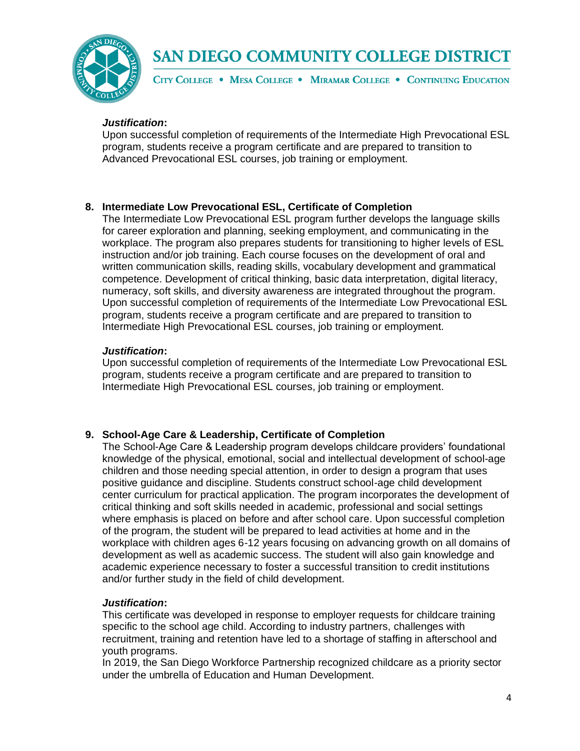

CITY COLLEGE . MESA COLLEGE . MIRAMAR COLLEGE . CONTINUING EDUCATION

#### *Justification***:**

Upon successful completion of requirements of the Intermediate High Prevocational ESL program, students receive a program certificate and are prepared to transition to Advanced Prevocational ESL courses, job training or employment.

#### **8. Intermediate Low Prevocational ESL, Certificate of Completion**

The Intermediate Low Prevocational ESL program further develops the language skills for career exploration and planning, seeking employment, and communicating in the workplace. The program also prepares students for transitioning to higher levels of ESL instruction and/or job training. Each course focuses on the development of oral and written communication skills, reading skills, vocabulary development and grammatical competence. Development of critical thinking, basic data interpretation, digital literacy, numeracy, soft skills, and diversity awareness are integrated throughout the program. Upon successful completion of requirements of the Intermediate Low Prevocational ESL program, students receive a program certificate and are prepared to transition to Intermediate High Prevocational ESL courses, job training or employment.

#### *Justification***:**

Upon successful completion of requirements of the Intermediate Low Prevocational ESL program, students receive a program certificate and are prepared to transition to Intermediate High Prevocational ESL courses, job training or employment.

#### **9. School-Age Care & Leadership, Certificate of Completion**

The School-Age Care & Leadership program develops childcare providers' foundational knowledge of the physical, emotional, social and intellectual development of school-age children and those needing special attention, in order to design a program that uses positive guidance and discipline. Students construct school-age child development center curriculum for practical application. The program incorporates the development of critical thinking and soft skills needed in academic, professional and social settings where emphasis is placed on before and after school care. Upon successful completion of the program, the student will be prepared to lead activities at home and in the workplace with children ages 6-12 years focusing on advancing growth on all domains of development as well as academic success. The student will also gain knowledge and academic experience necessary to foster a successful transition to credit institutions and/or further study in the field of child development.

#### *Justification***:**

This certificate was developed in response to employer requests for childcare training specific to the school age child. According to industry partners, challenges with recruitment, training and retention have led to a shortage of staffing in afterschool and youth programs.

In 2019, the San Diego Workforce Partnership recognized childcare as a priority sector under the umbrella of Education and Human Development.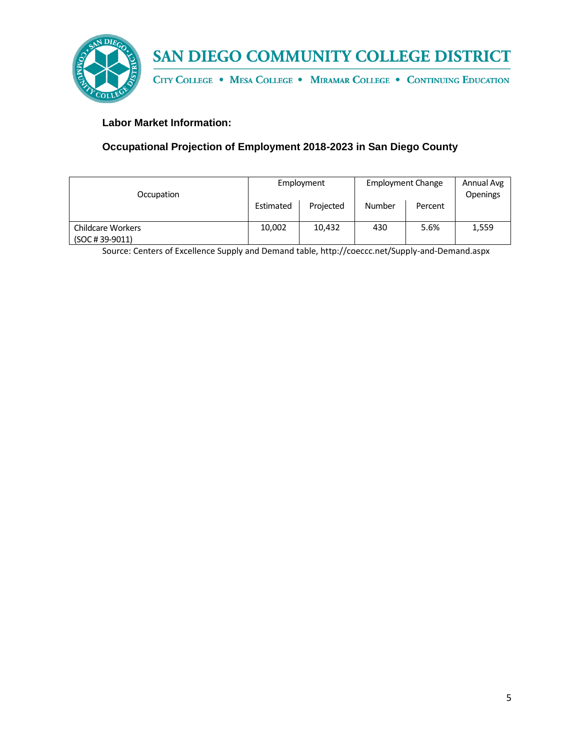

CITY COLLEGE . MESA COLLEGE . MIRAMAR COLLEGE . CONTINUING EDUCATION

### **Labor Market Information:**

## **Occupational Projection of Employment 2018-2023 in San Diego County**

| Occupation                                    | Employment |           | <b>Employment Change</b> |         | Annual Avg<br><b>Openings</b> |
|-----------------------------------------------|------------|-----------|--------------------------|---------|-------------------------------|
|                                               | Estimated  | Projected | Number                   | Percent |                               |
| <b>Childcare Workers</b><br>$(SOC # 39-9011)$ | 10,002     | 10,432    | 430                      | 5.6%    | 1,559                         |

Source: Centers of Excellence Supply and Demand table, http://coeccc.net/Supply-and-Demand.aspx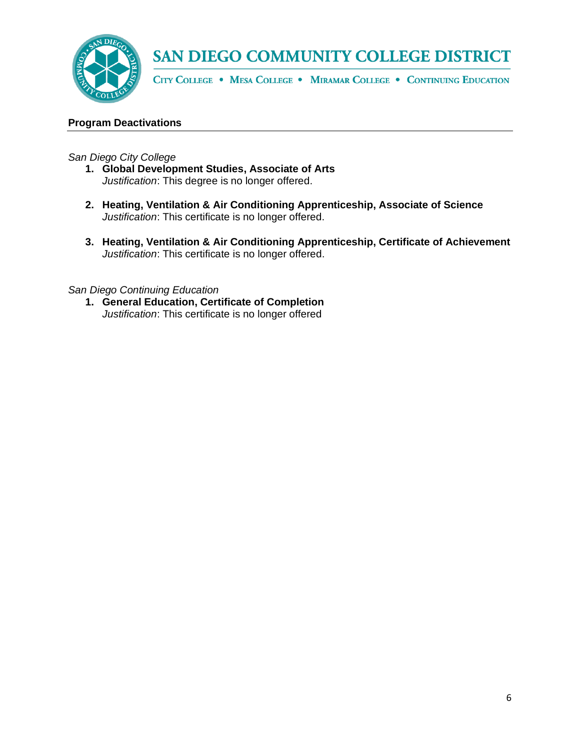

CITY COLLEGE . MESA COLLEGE . MIRAMAR COLLEGE . CONTINUING EDUCATION

#### **Program Deactivations**

*San Diego City College*

- **1. Global Development Studies, Associate of Arts**  *Justification*: This degree is no longer offered.
- **2. Heating, Ventilation & Air Conditioning Apprenticeship, Associate of Science**  *Justification*: This certificate is no longer offered.
- **3. Heating, Ventilation & Air Conditioning Apprenticeship, Certificate of Achievement** *Justification*: This certificate is no longer offered.

*San Diego Continuing Education*

**1. General Education, Certificate of Completion** *Justification*: This certificate is no longer offered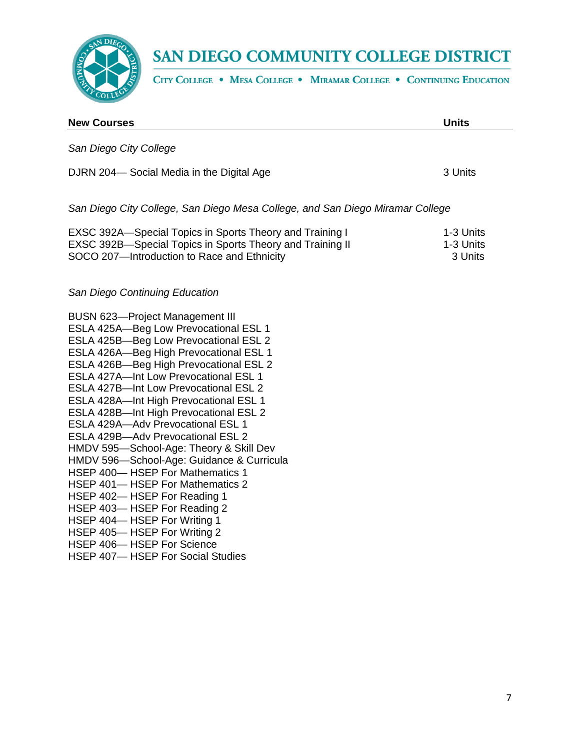

CITY COLLEGE . MESA COLLEGE . MIRAMAR COLLEGE . CONTINUING EDUCATION

| <b>New Courses</b>                                                                                                                                                                                                                                                                                                                                                                                                                                                                                                                                                                                                                                                                                                                                                                                                              | <b>Units</b>                      |
|---------------------------------------------------------------------------------------------------------------------------------------------------------------------------------------------------------------------------------------------------------------------------------------------------------------------------------------------------------------------------------------------------------------------------------------------------------------------------------------------------------------------------------------------------------------------------------------------------------------------------------------------------------------------------------------------------------------------------------------------------------------------------------------------------------------------------------|-----------------------------------|
| San Diego City College                                                                                                                                                                                                                                                                                                                                                                                                                                                                                                                                                                                                                                                                                                                                                                                                          |                                   |
| DJRN 204-Social Media in the Digital Age                                                                                                                                                                                                                                                                                                                                                                                                                                                                                                                                                                                                                                                                                                                                                                                        | 3 Units                           |
| San Diego City College, San Diego Mesa College, and San Diego Miramar College                                                                                                                                                                                                                                                                                                                                                                                                                                                                                                                                                                                                                                                                                                                                                   |                                   |
| EXSC 392A—Special Topics in Sports Theory and Training I<br>EXSC 392B-Special Topics in Sports Theory and Training II<br>SOCO 207-Introduction to Race and Ethnicity                                                                                                                                                                                                                                                                                                                                                                                                                                                                                                                                                                                                                                                            | 1-3 Units<br>1-3 Units<br>3 Units |
| San Diego Continuing Education                                                                                                                                                                                                                                                                                                                                                                                                                                                                                                                                                                                                                                                                                                                                                                                                  |                                   |
| <b>BUSN 623-Project Management III</b><br>ESLA 425A-Beg Low Prevocational ESL 1<br>ESLA 425B-Beg Low Prevocational ESL 2<br>ESLA 426A-Beg High Prevocational ESL 1<br>ESLA 426B-Beg High Prevocational ESL 2<br><b>ESLA 427A-Int Low Prevocational ESL 1</b><br>ESLA 427B-Int Low Prevocational ESL 2<br>ESLA 428A-Int High Prevocational ESL 1<br>ESLA 428B-Int High Prevocational ESL 2<br>ESLA 429A-Adv Prevocational ESL 1<br>ESLA 429B-Adv Prevocational ESL 2<br>HMDV 595-School-Age: Theory & Skill Dev<br>HMDV 596-School-Age: Guidance & Curricula<br>HSEP 400- HSEP For Mathematics 1<br>HSEP 401-HSEP For Mathematics 2<br>HSEP 402-HSEP For Reading 1<br>HSEP 403-HSEP For Reading 2<br>HSEP 404-HSEP For Writing 1<br>HSEP 405-HSEP For Writing 2<br>HSEP 406-HSEP For Science<br>HSEP 407-HSEP For Social Studies |                                   |